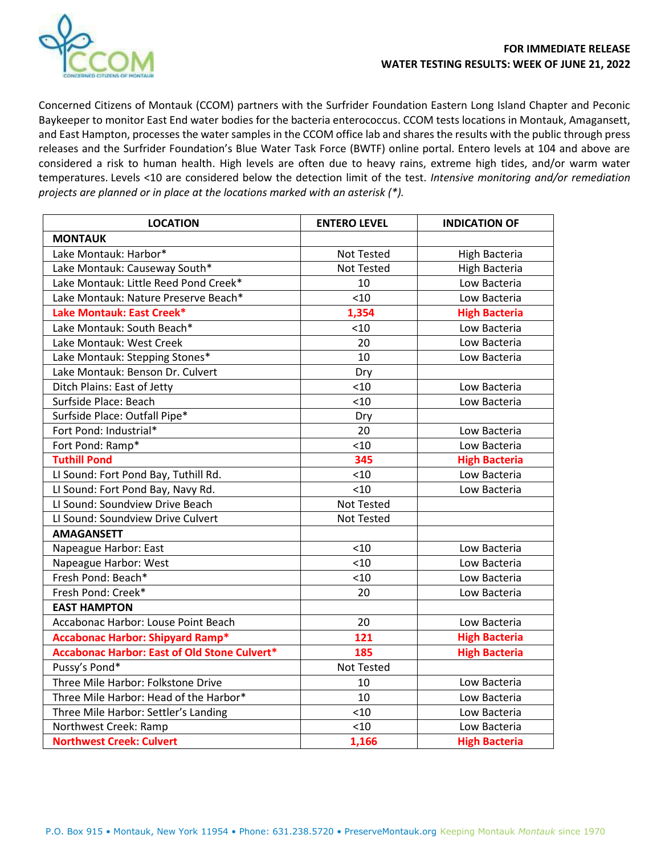

Concerned Citizens of Montauk (CCOM) partners with the Surfrider Foundation Eastern Long Island Chapter and Peconic Baykeeper to monitor East End water bodies for the bacteria enterococcus. CCOM tests locations in Montauk, Amagansett, and East Hampton, processes the water samples in the CCOM office lab and shares the results with the public through press releases and the Surfrider Foundation's Blue Water Task Force (BWTF) online portal. Entero levels at 104 and above are considered a risk to human health. High levels are often due to heavy rains, extreme high tides, and/or warm water temperatures. Levels <10 are considered below the detection limit of the test. *Intensive monitoring and/or remediation projects are planned or in place at the locations marked with an asterisk (\*).*

| <b>LOCATION</b>                                     | <b>ENTERO LEVEL</b> | <b>INDICATION OF</b> |
|-----------------------------------------------------|---------------------|----------------------|
| <b>MONTAUK</b>                                      |                     |                      |
| Lake Montauk: Harbor*                               | <b>Not Tested</b>   | High Bacteria        |
| Lake Montauk: Causeway South*                       | Not Tested          | High Bacteria        |
| Lake Montauk: Little Reed Pond Creek*               | 10                  | Low Bacteria         |
| Lake Montauk: Nature Preserve Beach*                | < 10                | Low Bacteria         |
| Lake Montauk: East Creek*                           | 1,354               | <b>High Bacteria</b> |
| Lake Montauk: South Beach*                          | < 10                | Low Bacteria         |
| Lake Montauk: West Creek                            | 20                  | Low Bacteria         |
| Lake Montauk: Stepping Stones*                      | 10                  | Low Bacteria         |
| Lake Montauk: Benson Dr. Culvert                    | Dry                 |                      |
| Ditch Plains: East of Jetty                         | < 10                | Low Bacteria         |
| Surfside Place: Beach                               | < 10                | Low Bacteria         |
| Surfside Place: Outfall Pipe*                       | Dry                 |                      |
| Fort Pond: Industrial*                              | 20                  | Low Bacteria         |
| Fort Pond: Ramp*                                    | < 10                | Low Bacteria         |
| <b>Tuthill Pond</b>                                 | 345                 | <b>High Bacteria</b> |
| LI Sound: Fort Pond Bay, Tuthill Rd.                | < 10                | Low Bacteria         |
| LI Sound: Fort Pond Bay, Navy Rd.                   | < 10                | Low Bacteria         |
| LI Sound: Soundview Drive Beach                     | <b>Not Tested</b>   |                      |
| LI Sound: Soundview Drive Culvert                   | Not Tested          |                      |
| <b>AMAGANSETT</b>                                   |                     |                      |
| Napeague Harbor: East                               | < 10                | Low Bacteria         |
| Napeague Harbor: West                               | < 10                | Low Bacteria         |
| Fresh Pond: Beach*                                  | < 10                | Low Bacteria         |
| Fresh Pond: Creek*                                  | 20                  | Low Bacteria         |
| <b>EAST HAMPTON</b>                                 |                     |                      |
| Accabonac Harbor: Louse Point Beach                 | 20                  | Low Bacteria         |
| <b>Accabonac Harbor: Shipyard Ramp*</b>             | 121                 | <b>High Bacteria</b> |
| <b>Accabonac Harbor: East of Old Stone Culvert*</b> | 185                 | <b>High Bacteria</b> |
| Pussy's Pond*                                       | Not Tested          |                      |
| Three Mile Harbor: Folkstone Drive                  | 10                  | Low Bacteria         |
| Three Mile Harbor: Head of the Harbor*              | 10                  | Low Bacteria         |
| Three Mile Harbor: Settler's Landing                | < 10                | Low Bacteria         |
| Northwest Creek: Ramp                               | < 10                | Low Bacteria         |
| <b>Northwest Creek: Culvert</b>                     | 1,166               | <b>High Bacteria</b> |